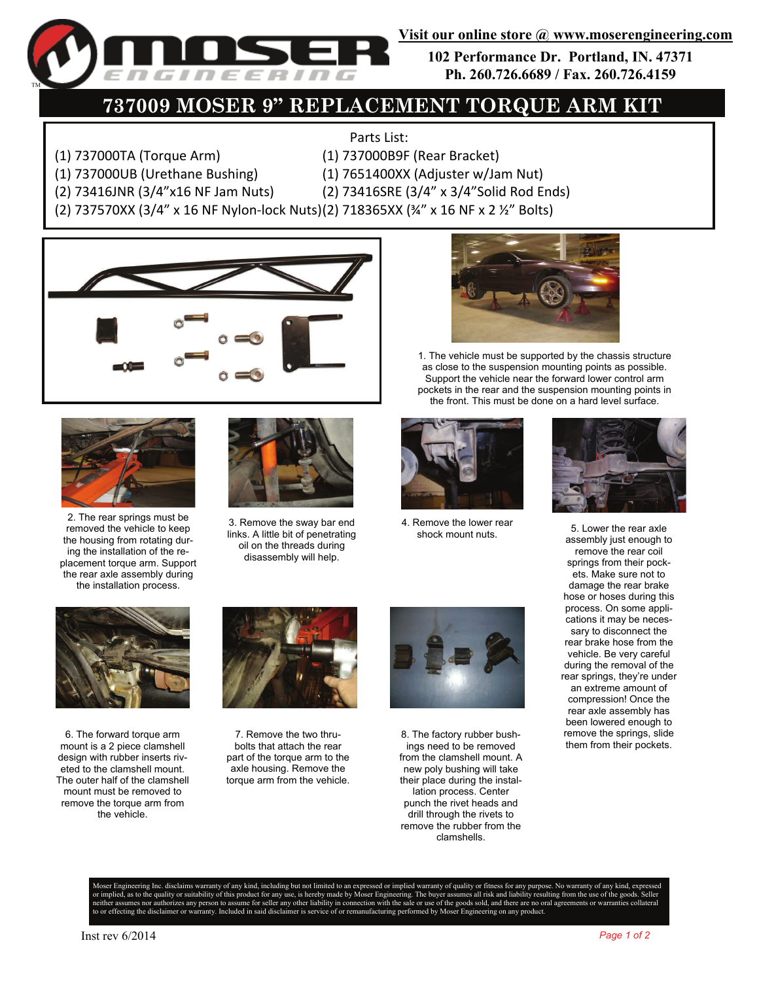

**102 Performance Dr. Portland, IN. 47371 Ph. 260.726.6689 / Fax. 260.726.4159** 

## **737009 MOSER 9" REPLACEMENT TORQUE ARM KIT**

## Parts List:

- (1) 737000TA (Torque Arm) (1) 737000B9F (Rear Bracket)
- (1) 737000UB (Urethane Bushing) (1) 7651400XX (Adjuster w/Jam Nut)
- (2) 73416JNR (3/4"x16 NF Jam Nuts) (2) 73416SRE (3/4" x 3/4"Solid Rod Ends)
- 
- -
- (2) 737570XX (3/4" x 16 NF Nylon‐lock Nuts)(2) 718365XX (¾" x 16 NF x 2 ½" Bolts)





2. The rear springs must be removed the vehicle to keep the housing from rotating during the installation of the replacement torque arm. Support the rear axle assembly during the installation process.



3. Remove the sway bar end links. A little bit of penetrating oil on the threads during disassembly will help.



1. The vehicle must be supported by the chassis structure as close to the suspension mounting points as possible. Support the vehicle near the forward lower control arm pockets in the rear and the suspension mounting points in the front. This must be done on a hard level surface.



4. Remove the lower rear



shock mount nuts. 5. Lower the rear axle assembly just enough to remove the rear coil springs from their pockets. Make sure not to damage the rear brake hose or hoses during this process. On some applications it may be necessary to disconnect the rear brake hose from the vehicle. Be very careful during the removal of the rear springs, they're under an extreme amount of compression! Once the rear axle assembly has been lowered enough to remove the springs, slide them from their pockets.



6. The forward torque arm mount is a 2 piece clamshell design with rubber inserts riveted to the clamshell mount. The outer half of the clamshell mount must be removed to remove the torque arm from the vehicle.



7. Remove the two thrubolts that attach the rear part of the torque arm to the axle housing. Remove the torque arm from the vehicle.



8. The factory rubber bushings need to be removed from the clamshell mount. A new poly bushing will take their place during the installation process. Center punch the rivet heads and drill through the rivets to remove the rubber from the clamshells.

Moser Engineering Inc. disclaims warranty of any kind, including but not limited to an expressed or implied warranty of quality or fitness for any purpose. No warranty of any kind, expressed or implied, as to the quality or suitability of this product for any use, is hereby made by Moser Engineering. The buyer assumes all risk and liability resulting from the use of the goods. Seller any or surranties consulti nizes any person to assume for seller any other liability in connection with the sale or use of the goods sold, and there are no oral agreeme<br>mer or warranty. Included in said disclaimer is service of or remanufacturing pe nufacturing performed by Moser Engineering on any product